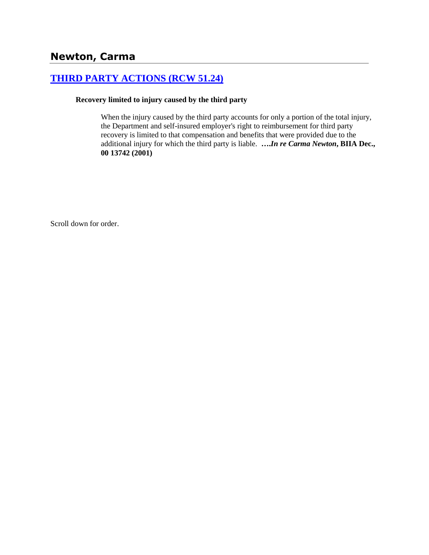# **[THIRD PARTY ACTIONS \(RCW 51.24\)](http://www.biia.wa.gov/SDSubjectIndex.html#THIRD_PARTY_ACTIONS)**

#### **Recovery limited to injury caused by the third party**

When the injury caused by the third party accounts for only a portion of the total injury, the Department and self-insured employer's right to reimbursement for third party recovery is limited to that compensation and benefits that were provided due to the additional injury for which the third party is liable. **….***In re Carma Newton***, BIIA Dec., 00 13742 (2001)**

Scroll down for order.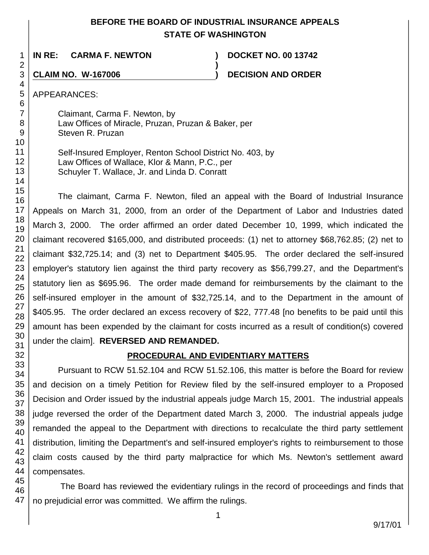## **BEFORE THE BOARD OF INDUSTRIAL INSURANCE APPEALS STATE OF WASHINGTON**

**)**

**IN RE: CARMA F. NEWTON ) DOCKET NO. 00 13742**

**CLAIM NO. W-167006 ) DECISION AND ORDER** 

APPEARANCES:

Claimant, Carma F. Newton, by Law Offices of Miracle, Pruzan, Pruzan & Baker, per Steven R. Pruzan

Self-Insured Employer, Renton School District No. 403, by Law Offices of Wallace, Klor & Mann, P.C., per Schuyler T. Wallace, Jr. and Linda D. Conratt

The claimant, Carma F. Newton, filed an appeal with the Board of Industrial Insurance Appeals on March 31, 2000, from an order of the Department of Labor and Industries dated March 3, 2000. The order affirmed an order dated December 10, 1999, which indicated the claimant recovered \$165,000, and distributed proceeds: (1) net to attorney \$68,762.85; (2) net to claimant \$32,725.14; and (3) net to Department \$405.95. The order declared the self-insured employer's statutory lien against the third party recovery as \$56,799.27, and the Department's statutory lien as \$695.96. The order made demand for reimbursements by the claimant to the self-insured employer in the amount of \$32,725.14, and to the Department in the amount of \$405.95. The order declared an excess recovery of \$22, 777.48 [no benefits to be paid until this amount has been expended by the claimant for costs incurred as a result of condition(s) covered under the claim]. **REVERSED AND REMANDED.**

## **PROCEDURAL AND EVIDENTIARY MATTERS**

Pursuant to RCW 51.52.104 and RCW 51.52.106, this matter is before the Board for review and decision on a timely Petition for Review filed by the self-insured employer to a Proposed Decision and Order issued by the industrial appeals judge March 15, 2001. The industrial appeals judge reversed the order of the Department dated March 3, 2000. The industrial appeals judge remanded the appeal to the Department with directions to recalculate the third party settlement distribution, limiting the Department's and self-insured employer's rights to reimbursement to those claim costs caused by the third party malpractice for which Ms. Newton's settlement award compensates.

45 46 47 The Board has reviewed the evidentiary rulings in the record of proceedings and finds that no prejudicial error was committed. We affirm the rulings.

9/17/01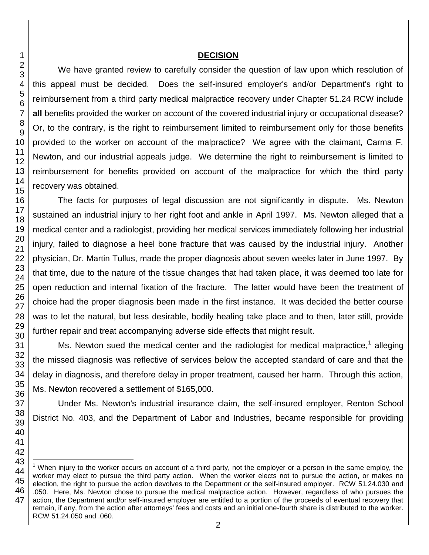#### **DECISION**

We have granted review to carefully consider the question of law upon which resolution of this appeal must be decided. Does the self-insured employer's and/or Department's right to reimbursement from a third party medical malpractice recovery under Chapter 51.24 RCW include **all** benefits provided the worker on account of the covered industrial injury or occupational disease? Or, to the contrary, is the right to reimbursement limited to reimbursement only for those benefits provided to the worker on account of the malpractice? We agree with the claimant, Carma F. Newton, and our industrial appeals judge. We determine the right to reimbursement is limited to reimbursement for benefits provided on account of the malpractice for which the third party recovery was obtained.

The facts for purposes of legal discussion are not significantly in dispute. Ms. Newton sustained an industrial injury to her right foot and ankle in April 1997. Ms. Newton alleged that a medical center and a radiologist, providing her medical services immediately following her industrial injury, failed to diagnose a heel bone fracture that was caused by the industrial injury. Another physician, Dr. Martin Tullus, made the proper diagnosis about seven weeks later in June 1997. By that time, due to the nature of the tissue changes that had taken place, it was deemed too late for open reduction and internal fixation of the fracture. The latter would have been the treatment of choice had the proper diagnosis been made in the first instance. It was decided the better course was to let the natural, but less desirable, bodily healing take place and to then, later still, provide further repair and treat accompanying adverse side effects that might result.

Ms. Newton sued the medical center and the radiologist for medical malpractice,<sup>1</sup> alleging the missed diagnosis was reflective of services below the accepted standard of care and that the delay in diagnosis, and therefore delay in proper treatment, caused her harm. Through this action, Ms. Newton recovered a settlement of \$165,000.

Under Ms. Newton's industrial insurance claim, the self-insured employer, Renton School District No. 403, and the Department of Labor and Industries, became responsible for providing

l

When injury to the worker occurs on account of a third party, not the employer or a person in the same employ, the worker may elect to pursue the third party action. When the worker elects not to pursue the action, or makes no election, the right to pursue the action devolves to the Department or the self-insured employer. RCW 51.24.030 and .050. Here, Ms. Newton chose to pursue the medical malpractice action. However, regardless of who pursues the action, the Department and/or self-insured employer are entitled to a portion of the proceeds of eventual recovery that remain, if any, from the action after attorneys' fees and costs and an initial one-fourth share is distributed to the worker. RCW 51.24.050 and .060.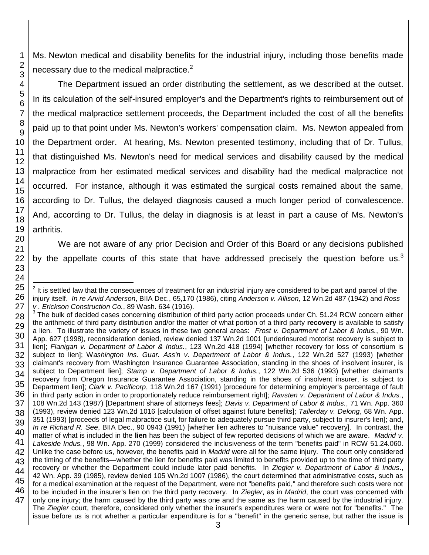Ms. Newton medical and disability benefits for the industrial injury, including those benefits made necessary due to the medical malpractice. $2^2$ 

The Department issued an order distributing the settlement, as we described at the outset. In its calculation of the self-insured employer's and the Department's rights to reimbursement out of the medical malpractice settlement proceeds, the Department included the cost of all the benefits paid up to that point under Ms. Newton's workers' compensation claim. Ms. Newton appealed from the Department order. At hearing, Ms. Newton presented testimony, including that of Dr. Tullus, that distinguished Ms. Newton's need for medical services and disability caused by the medical malpractice from her estimated medical services and disability had the medical malpractice not occurred. For instance, although it was estimated the surgical costs remained about the same, according to Dr. Tullus, the delayed diagnosis caused a much longer period of convalescence. And, according to Dr. Tullus, the delay in diagnosis is at least in part a cause of Ms. Newton's arthritis.

We are not aware of any prior Decision and Order of this Board or any decisions published by the appellate courts of this state that have addressed precisely the question before us.<sup>3</sup>

l  $2$  It is settled law that the consequences of treatment for an industrial injury are considered to be part and parcel of the injury itself. *In re Arvid Anderson*, BIIA Dec., 65,170 (1986), citing *Anderson v. Allison*, 12 Wn.2d 487 (1942) and *Ross v . Erickson Construction Co.*, 89 Wash. 634 (1916).

 $3$  The bulk of decided cases concerning distribution of third party action proceeds under Ch. 51.24 RCW concern either the arithmetic of third party distribution and/or the matter of what portion of a third party **recovery** is available to satisfy a lien. To illustrate the variety of issues in these two general areas: *Frost v. Department of Labor & Indus.*, 90 Wn. App. 627 (1998), reconsideration denied, review denied 137 Wn.2d 1001 [underinsured motorist recovery is subject to lien]; *Flanigan v. Department of Labor & Indus.*, 123 Wn.2d 418 (1994) [whether recovery for loss of consortium is subject to lien]; W*ashington Ins. Guar. Ass'n v. Department of Labor & Indus.*, 122 Wn.2d 527 (1993) [whether claimant's recovery from Washington Insurance Guarantee Association, standing in the shoes of insolvent insurer, is subject to Department lien]; *Stamp v. Department of Labor & Indus.*, 122 Wn.2d 536 (1993) [whether claimant's recovery from Oregon Insurance Guarantee Association, standing in the shoes of insolvent insurer, is subject to Department lien]; *Clark v. Pacificorp*, 118 Wn.2d 167 (1991) [procedure for determining employer's percentage of fault in third party action in order to proportionately reduce reimbursement right]; *Ravsten v. Department of Labor & Indus.*, 108 Wn.2d 143 (1987) [Department share of attorneys fees]; *Davis v. Department of Labor & Indus.*, 71 Wn. App. 360 (1993), review denied 123 Wn.2d 1016 [calculation of offset against future benefits]; *Tallerday v. Delong*, 68 Wn. App. 351 (1993) [proceeds of legal malpractice suit, for failure to adequately pursue third party, subject to insurer's lien]; and, *In re Richard R. See*, BIIA Dec., 90 0943 (1991) [whether lien adheres to "nuisance value" recovery]. In contrast, the matter of what is included in the **lien** has been the subject of few reported decisions of which we are aware. *Madrid v. Lakeside Indus.*, 98 Wn. App. 270 (1999) considered the inclusiveness of the term "benefits paid" in RCW 51.24.060. Unlike the case before us, however, the benefits paid in *Madrid* were all for the same injury. The court only considered the timing of the benefits—whether the lien for benefits paid was limited to benefits provided up to the time of third party recovery or whether the Department could include later paid benefits. In *Ziegler v. Department of Labor & Indus*., 42 Wn. App. 39 (1985), review denied 105 Wn.2d 1007 (1986), the court determined that administrative costs, such as for a medical examination at the request of the Department, were not "benefits paid," and therefore such costs were not to be included in the insurer's lien on the third party recovery. In *Ziegler*, as in *Madrid*, the court was concerned with only one injury; the harm caused by the third party was one and the same as the harm caused by the industrial injury. The *Ziegler* court, therefore, considered only whether the insurer's expenditures were or were not for "benefits." The issue before us is not whether a particular expenditure is for a "benefit" in the generic sense, but rather the issue is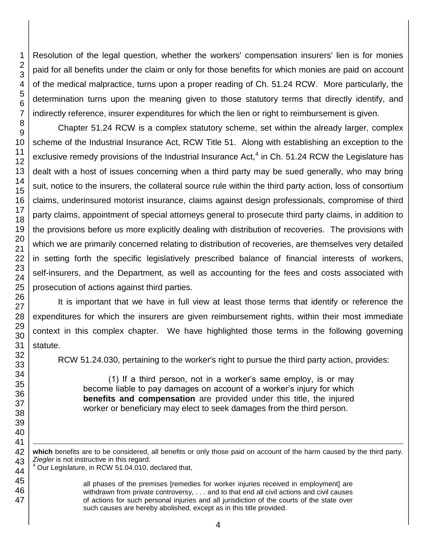RCW 51.24.030, pertaining to the worker's right to pursue the third party action, provides:

(1) If a third person, not in a worker's same employ, is or may become liable to pay damages on account of a worker's injury for which **benefits and compensation** are provided under this title, the injured worker or beneficiary may elect to seek damages from the third person.

Our Legislature, in RCW 51.04.010, declared that,

all phases of the premises [remedies for worker injuries received in employment] are withdrawn from private controversy, . . . and to that end all civil actions and civil causes of actions for such personal injuries and all jurisdiction of the courts of the state over such causes are hereby abolished, except as in this title provided.

Resolution of the legal question, whether the workers' compensation insurers' lien is for monies paid for all benefits under the claim or only for those benefits for which monies are paid on account of the medical malpractice, turns upon a proper reading of Ch. 51.24 RCW. More particularly, the determination turns upon the meaning given to those statutory terms that directly identify, and indirectly reference, insurer expenditures for which the lien or right to reimbursement is given.

Chapter 51.24 RCW is a complex statutory scheme, set within the already larger, complex scheme of the Industrial Insurance Act, RCW Title 51. Along with establishing an exception to the exclusive remedy provisions of the Industrial Insurance Act, $<sup>4</sup>$  in Ch. 51.24 RCW the Legislature has</sup> dealt with a host of issues concerning when a third party may be sued generally, who may bring suit, notice to the insurers, the collateral source rule within the third party action, loss of consortium claims, underinsured motorist insurance, claims against design professionals, compromise of third party claims, appointment of special attorneys general to prosecute third party claims, in addition to the provisions before us more explicitly dealing with distribution of recoveries. The provisions with which we are primarily concerned relating to distribution of recoveries, are themselves very detailed in setting forth the specific legislatively prescribed balance of financial interests of workers, self-insurers, and the Department, as well as accounting for the fees and costs associated with prosecution of actions against third parties.

It is important that we have in full view at least those terms that identify or reference the expenditures for which the insurers are given reimbursement rights, within their most immediate context in this complex chapter. We have highlighted those terms in the following governing

**which** benefits are to be considered, all benefits or only those paid on account of the harm caused by the third party. *Ziegler* is not instructive in this regard.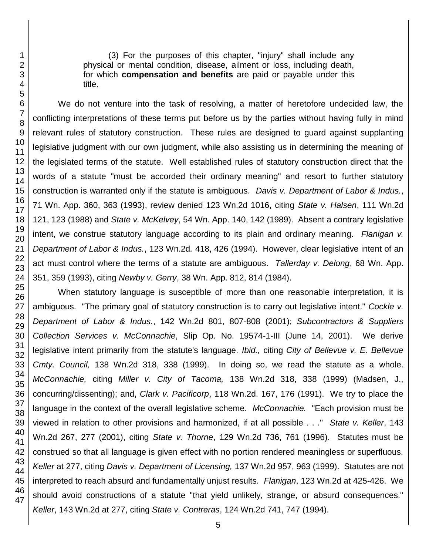(3) For the purposes of this chapter, "injury" shall include any physical or mental condition, disease, ailment or loss, including death, for which **compensation and benefits** are paid or payable under this title.

We do not venture into the task of resolving, a matter of heretofore undecided law, the conflicting interpretations of these terms put before us by the parties without having fully in mind relevant rules of statutory construction. These rules are designed to guard against supplanting legislative judgment with our own judgment, while also assisting us in determining the meaning of the legislated terms of the statute. Well established rules of statutory construction direct that the words of a statute "must be accorded their ordinary meaning" and resort to further statutory construction is warranted only if the statute is ambiguous. *Davis v. Department of Labor & Indus.*, 71 Wn. App. 360, 363 (1993), review denied 123 Wn.2d 1016, citing *State v. Halsen*, 111 Wn.2d 121, 123 (1988) and *State v. McKelvey*, 54 Wn. App. 140, 142 (1989). Absent a contrary legislative intent, we construe statutory language according to its plain and ordinary meaning. *Flanigan v. Department of Labor & Indus.*, 123 Wn.2d*.* 418, 426 (1994). However, clear legislative intent of an act must control where the terms of a statute are ambiguous. *Tallerday v. Delong*, 68 Wn. App. 351, 359 (1993), citing *Newby v. Gerry*, 38 Wn. App. 812, 814 (1984).

When statutory language is susceptible of more than one reasonable interpretation, it is ambiguous. "The primary goal of statutory construction is to carry out legislative intent." *Cockle v. Department of Labor & Indus.*, 142 Wn.2d 801, 807-808 (2001); *Subcontractors & Suppliers Collection Services v. McConnachie*, Slip Op. No. 19574-1-III (June 14, 2001). We derive legislative intent primarily from the statute's language. *Ibid.,* citing *City of Bellevue v. E. Bellevue Cmty. Council,* 138 Wn.2d 318, 338 (1999). In doing so, we read the statute as a whole. *McConnachie,* citing *Miller v. City of Tacoma,* 138 Wn.2d 318, 338 (1999) (Madsen, J., concurring/dissenting); and, *Clark v. Pacificorp*, 118 Wn.2d. 167, 176 (1991). We try to place the language in the context of the overall legislative scheme. *McConnachie.* "Each provision must be viewed in relation to other provisions and harmonized, if at all possible . . ." *State v. Keller*, 143 Wn.2d 267, 277 (2001), citing *State v. Thorne*, 129 Wn.2d 736, 761 (1996). Statutes must be construed so that all language is given effect with no portion rendered meaningless or superfluous. *Keller* at 277, citing *Davis v. Department of Licensing,* 137 Wn.2d 957, 963 (1999). Statutes are not interpreted to reach absurd and fundamentally unjust results. *Flanigan*, 123 Wn.2d at 425-426. We should avoid constructions of a statute "that yield unlikely, strange, or absurd consequences." *Keller*, 143 Wn.2d at 277, citing *State v. Contreras*, 124 Wn.2d 741, 747 (1994).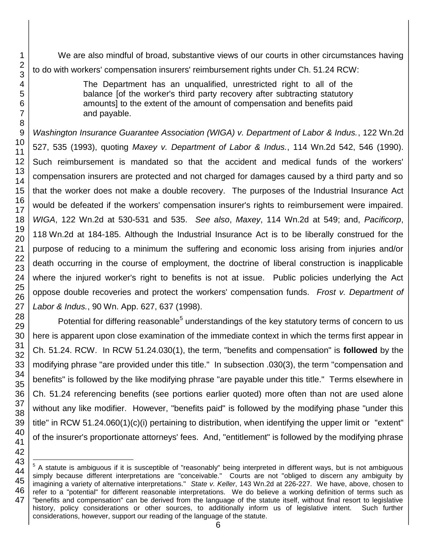We are also mindful of broad, substantive views of our courts in other circumstances having to do with workers' compensation insurers' reimbursement rights under Ch. 51.24 RCW:

> The Department has an unqualified, unrestricted right to all of the balance [of the worker's third party recovery after subtracting statutory amounts] to the extent of the amount of compensation and benefits paid and payable.

*Washington Insurance Guarantee Association (WIGA) v. Department of Labor & Indus.*, 122 Wn.2d 527, 535 (1993), quoting *Maxey v. Department of Labor & Indus.*, 114 Wn.2d 542, 546 (1990). Such reimbursement is mandated so that the accident and medical funds of the workers' compensation insurers are protected and not charged for damages caused by a third party and so that the worker does not make a double recovery. The purposes of the Industrial Insurance Act would be defeated if the workers' compensation insurer's rights to reimbursement were impaired. *WIGA*, 122 Wn.2d at 530-531 and 535. *See also*, *Maxey*, 114 Wn.2d at 549; and, *Pacificorp*, 118 Wn.2d at 184-185. Although the Industrial Insurance Act is to be liberally construed for the purpose of reducing to a minimum the suffering and economic loss arising from injuries and/or death occurring in the course of employment, the doctrine of liberal construction is inapplicable where the injured worker's right to benefits is not at issue. Public policies underlying the Act oppose double recoveries and protect the workers' compensation funds. *Frost v. Department of Labor & Indus.*, 90 Wn. App. 627, 637 (1998).

Potential for differing reasonable<sup>5</sup> understandings of the key statutory terms of concern to us here is apparent upon close examination of the immediate context in which the terms first appear in Ch. 51.24. RCW. In RCW 51.24.030(1), the term, "benefits and compensation" is **followed** by the modifying phrase "are provided under this title." In subsection .030(3), the term "compensation and benefits" is followed by the like modifying phrase "are payable under this title." Terms elsewhere in Ch. 51.24 referencing benefits (see portions earlier quoted) more often than not are used alone without any like modifier. However, "benefits paid" is followed by the modifying phase "under this title" in RCW 51.24.060(1)(c)(i) pertaining to distribution, when identifying the upper limit or "extent" of the insurer's proportionate attorneys' fees. And, "entitlement" is followed by the modifying phrase

l

<sup>&</sup>lt;sup>5</sup> A statute is ambiguous if it is susceptible of "reasonably" being interpreted in different ways, but is not ambiguous simply because different interpretations are "conceivable." Courts are not "obliged to discern any ambiguity by imagining a variety of alternative interpretations." *State v. Keller*, 143 Wn.2d at 226-227. We have, above, chosen to refer to a "potential" for different reasonable interpretations. We do believe a working definition of terms such as "benefits and compensation" can be derived from the language of the statute itself, without final resort to legislative history, policy considerations or other sources, to additionally inform us of legislative intent. Such further considerations, however, support our reading of the language of the statute.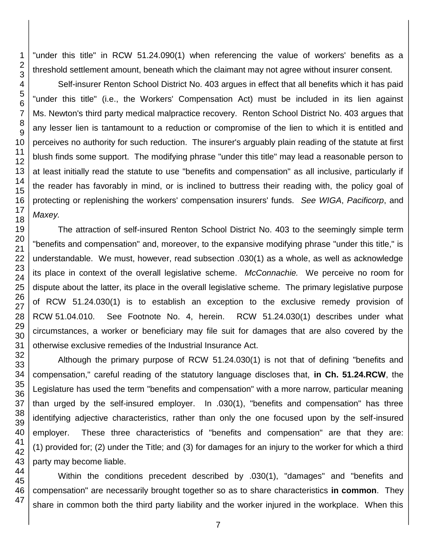"under this title" in RCW 51.24.090(1) when referencing the value of workers' benefits as a threshold settlement amount, beneath which the claimant may not agree without insurer consent.

Self-insurer Renton School District No. 403 argues in effect that all benefits which it has paid "under this title" (i.e., the Workers' Compensation Act) must be included in its lien against Ms. Newton's third party medical malpractice recovery. Renton School District No. 403 argues that any lesser lien is tantamount to a reduction or compromise of the lien to which it is entitled and perceives no authority for such reduction. The insurer's arguably plain reading of the statute at first blush finds some support. The modifying phrase "under this title" may lead a reasonable person to at least initially read the statute to use "benefits and compensation" as all inclusive, particularly if the reader has favorably in mind, or is inclined to buttress their reading with, the policy goal of protecting or replenishing the workers' compensation insurers' funds. *See WIGA*, *Pacificorp*, and *Maxey.* 

The attraction of self-insured Renton School District No. 403 to the seemingly simple term "benefits and compensation" and, moreover, to the expansive modifying phrase "under this title," is understandable. We must, however, read subsection .030(1) as a whole, as well as acknowledge its place in context of the overall legislative scheme. *McConnachie.* We perceive no room for dispute about the latter, its place in the overall legislative scheme. The primary legislative purpose of RCW 51.24.030(1) is to establish an exception to the exclusive remedy provision of RCW 51.04.010. See Footnote No. 4, herein. RCW 51.24.030(1) describes under what circumstances, a worker or beneficiary may file suit for damages that are also covered by the otherwise exclusive remedies of the Industrial Insurance Act.

Although the primary purpose of RCW 51.24.030(1) is not that of defining "benefits and compensation," careful reading of the statutory language discloses that, **in Ch. 51.24.RCW**, the Legislature has used the term "benefits and compensation" with a more narrow, particular meaning than urged by the self-insured employer. In .030(1), "benefits and compensation" has three identifying adjective characteristics, rather than only the one focused upon by the self-insured employer. These three characteristics of "benefits and compensation" are that they are: (1) provided for; (2) under the Title; and (3) for damages for an injury to the worker for which a third party may become liable.

Within the conditions precedent described by .030(1), "damages" and "benefits and compensation" are necessarily brought together so as to share characteristics **in common**. They share in common both the third party liability and the worker injured in the workplace. When this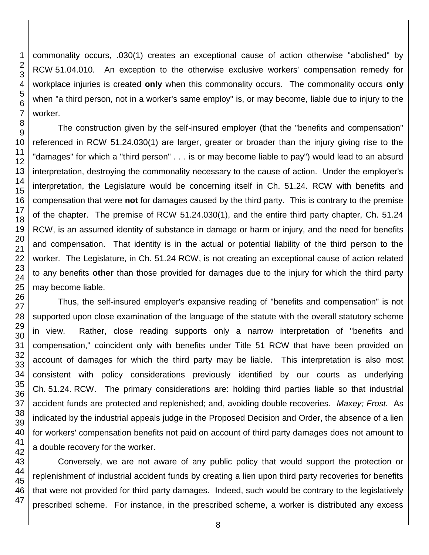commonality occurs, .030(1) creates an exceptional cause of action otherwise "abolished" by RCW 51.04.010. An exception to the otherwise exclusive workers' compensation remedy for workplace injuries is created **only** when this commonality occurs. The commonality occurs **only** when "a third person, not in a worker's same employ" is, or may become, liable due to injury to the worker.

The construction given by the self-insured employer (that the "benefits and compensation" referenced in RCW 51.24.030(1) are larger, greater or broader than the injury giving rise to the "damages" for which a "third person" . . . is or may become liable to pay") would lead to an absurd interpretation, destroying the commonality necessary to the cause of action. Under the employer's interpretation, the Legislature would be concerning itself in Ch. 51.24. RCW with benefits and compensation that were **not** for damages caused by the third party. This is contrary to the premise of the chapter. The premise of RCW 51.24.030(1), and the entire third party chapter, Ch. 51.24 RCW, is an assumed identity of substance in damage or harm or injury, and the need for benefits and compensation. That identity is in the actual or potential liability of the third person to the worker. The Legislature, in Ch. 51.24 RCW, is not creating an exceptional cause of action related to any benefits **other** than those provided for damages due to the injury for which the third party may become liable.

Thus, the self-insured employer's expansive reading of "benefits and compensation" is not supported upon close examination of the language of the statute with the overall statutory scheme in view. Rather, close reading supports only a narrow interpretation of "benefits and compensation," coincident only with benefits under Title 51 RCW that have been provided on account of damages for which the third party may be liable. This interpretation is also most consistent with policy considerations previously identified by our courts as underlying Ch. 51.24. RCW. The primary considerations are: holding third parties liable so that industrial accident funds are protected and replenished; and, avoiding double recoveries. *Maxey; Frost.* As indicated by the industrial appeals judge in the Proposed Decision and Order, the absence of a lien for workers' compensation benefits not paid on account of third party damages does not amount to a double recovery for the worker.

Conversely, we are not aware of any public policy that would support the protection or replenishment of industrial accident funds by creating a lien upon third party recoveries for benefits that were not provided for third party damages. Indeed, such would be contrary to the legislatively prescribed scheme. For instance, in the prescribed scheme, a worker is distributed any excess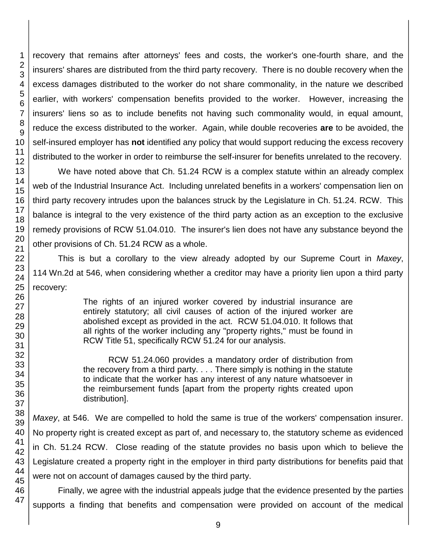recovery that remains after attorneys' fees and costs, the worker's one-fourth share, and the insurers' shares are distributed from the third party recovery. There is no double recovery when the excess damages distributed to the worker do not share commonality, in the nature we described earlier, with workers' compensation benefits provided to the worker. However, increasing the insurers' liens so as to include benefits not having such commonality would, in equal amount, reduce the excess distributed to the worker. Again, while double recoveries **are** to be avoided, the self-insured employer has **not** identified any policy that would support reducing the excess recovery distributed to the worker in order to reimburse the self-insurer for benefits unrelated to the recovery.

We have noted above that Ch. 51.24 RCW is a complex statute within an already complex web of the Industrial Insurance Act. Including unrelated benefits in a workers' compensation lien on third party recovery intrudes upon the balances struck by the Legislature in Ch. 51.24. RCW. This balance is integral to the very existence of the third party action as an exception to the exclusive remedy provisions of RCW 51.04.010. The insurer's lien does not have any substance beyond the other provisions of Ch. 51.24 RCW as a whole.

This is but a corollary to the view already adopted by our Supreme Court in *Maxey*, 114 Wn.2d at 546, when considering whether a creditor may have a priority lien upon a third party recovery:

> The rights of an injured worker covered by industrial insurance are entirely statutory; all civil causes of action of the injured worker are abolished except as provided in the act. RCW 51.04.010. It follows that all rights of the worker including any "property rights," must be found in RCW Title 51, specifically RCW 51.24 for our analysis.

> RCW 51.24.060 provides a mandatory order of distribution from the recovery from a third party. . . . There simply is nothing in the statute to indicate that the worker has any interest of any nature whatsoever in the reimbursement funds [apart from the property rights created upon distribution].

*Maxey*, at 546. We are compelled to hold the same is true of the workers' compensation insurer. No property right is created except as part of, and necessary to, the statutory scheme as evidenced in Ch. 51.24 RCW. Close reading of the statute provides no basis upon which to believe the Legislature created a property right in the employer in third party distributions for benefits paid that were not on account of damages caused by the third party.

Finally, we agree with the industrial appeals judge that the evidence presented by the parties supports a finding that benefits and compensation were provided on account of the medical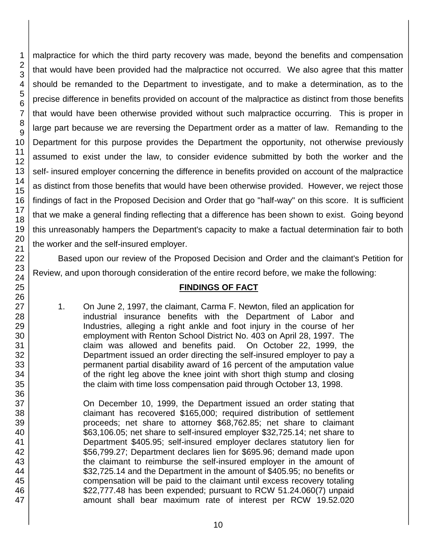malpractice for which the third party recovery was made, beyond the benefits and compensation that would have been provided had the malpractice not occurred. We also agree that this matter should be remanded to the Department to investigate, and to make a determination, as to the precise difference in benefits provided on account of the malpractice as distinct from those benefits that would have been otherwise provided without such malpractice occurring. This is proper in large part because we are reversing the Department order as a matter of law. Remanding to the Department for this purpose provides the Department the opportunity, not otherwise previously assumed to exist under the law, to consider evidence submitted by both the worker and the self- insured employer concerning the difference in benefits provided on account of the malpractice as distinct from those benefits that would have been otherwise provided. However, we reject those findings of fact in the Proposed Decision and Order that go "half-way" on this score. It is sufficient that we make a general finding reflecting that a difference has been shown to exist. Going beyond this unreasonably hampers the Department's capacity to make a factual determination fair to both the worker and the self-insured employer.

Based upon our review of the Proposed Decision and Order and the claimant's Petition for Review, and upon thorough consideration of the entire record before, we make the following:

#### **FINDINGS OF FACT**

1. On June 2, 1997, the claimant, Carma F. Newton, filed an application for industrial insurance benefits with the Department of Labor and Industries, alleging a right ankle and foot injury in the course of her employment with Renton School District No. 403 on April 28, 1997. The claim was allowed and benefits paid. On October 22, 1999, the Department issued an order directing the self-insured employer to pay a permanent partial disability award of 16 percent of the amputation value of the right leg above the knee joint with short thigh stump and closing the claim with time loss compensation paid through October 13, 1998.

On December 10, 1999, the Department issued an order stating that claimant has recovered \$165,000; required distribution of settlement proceeds; net share to attorney \$68,762.85; net share to claimant \$63,106.05; net share to self-insured employer \$32,725.14; net share to Department \$405.95; self-insured employer declares statutory lien for \$56,799.27; Department declares lien for \$695.96; demand made upon the claimant to reimburse the self-insured employer in the amount of \$32,725.14 and the Department in the amount of \$405.95; no benefits or compensation will be paid to the claimant until excess recovery totaling \$22,777.48 has been expended; pursuant to RCW 51.24.060(7) unpaid amount shall bear maximum rate of interest per RCW 19.52.020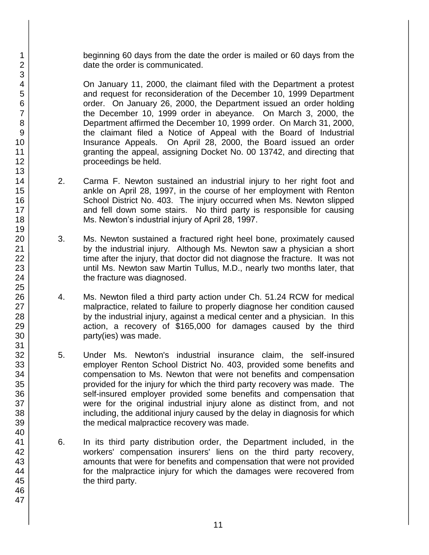beginning 60 days from the date the order is mailed or 60 days from the date the order is communicated.

On January 11, 2000, the claimant filed with the Department a protest and request for reconsideration of the December 10, 1999 Department order. On January 26, 2000, the Department issued an order holding the December 10, 1999 order in abeyance. On March 3, 2000, the Department affirmed the December 10, 1999 order. On March 31, 2000, the claimant filed a Notice of Appeal with the Board of Industrial Insurance Appeals. On April 28, 2000, the Board issued an order granting the appeal, assigning Docket No. 00 13742, and directing that proceedings be held.

- 2. Carma F. Newton sustained an industrial injury to her right foot and ankle on April 28, 1997, in the course of her employment with Renton School District No. 403. The injury occurred when Ms. Newton slipped and fell down some stairs. No third party is responsible for causing Ms. Newton's industrial injury of April 28, 1997.
- 3. Ms. Newton sustained a fractured right heel bone, proximately caused by the industrial injury. Although Ms. Newton saw a physician a short time after the injury, that doctor did not diagnose the fracture. It was not until Ms. Newton saw Martin Tullus, M.D., nearly two months later, that the fracture was diagnosed.
- 4. Ms. Newton filed a third party action under Ch. 51.24 RCW for medical malpractice, related to failure to properly diagnose her condition caused by the industrial injury, against a medical center and a physician. In this action, a recovery of \$165,000 for damages caused by the third party(ies) was made.
- 5. Under Ms. Newton's industrial insurance claim, the self-insured employer Renton School District No. 403, provided some benefits and compensation to Ms. Newton that were not benefits and compensation provided for the injury for which the third party recovery was made. The self-insured employer provided some benefits and compensation that were for the original industrial injury alone as distinct from, and not including, the additional injury caused by the delay in diagnosis for which the medical malpractice recovery was made.
- 6. In its third party distribution order, the Department included, in the workers' compensation insurers' liens on the third party recovery, amounts that were for benefits and compensation that were not provided for the malpractice injury for which the damages were recovered from the third party.